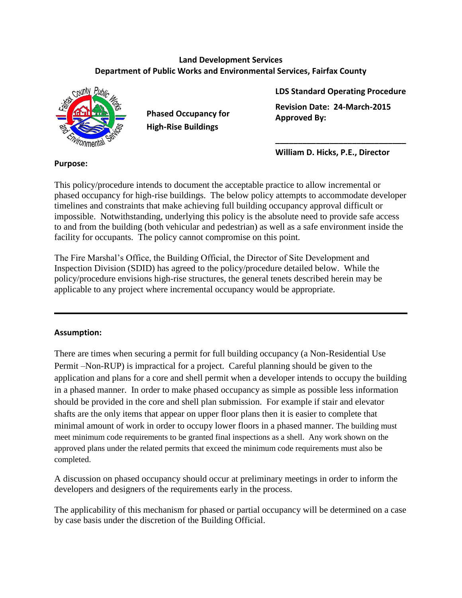#### **Land Development Services Department of Public Works and Environmental Services, Fairfax County**



**Phased Occupancy for High-Rise Buildings**

**LDS Standard Operating Procedure Revision Date: 24-March-2015 Approved By:** 

**\_\_\_\_\_\_\_\_\_\_\_\_\_\_\_\_\_\_\_\_\_\_\_\_\_\_\_\_\_**

**William D. Hicks, P.E., Director**

### This policy/procedure intends to document the acceptable practice to allow incremental or phased occupancy for high-rise buildings. The below policy attempts to accommodate developer timelines and constraints that make achieving full building occupancy approval difficult or impossible. Notwithstanding, underlying this policy is the absolute need to provide safe access to and from the building (both vehicular and pedestrian) as well as a safe environment inside the facility for occupants. The policy cannot compromise on this point.

The Fire Marshal's Office, the Building Official, the Director of Site Development and Inspection Division (SDID) has agreed to the policy/procedure detailed below. While the policy/procedure envisions high-rise structures, the general tenets described herein may be applicable to any project where incremental occupancy would be appropriate.

## **Assumption:**

There are times when securing a permit for full building occupancy (a Non-Residential Use Permit –Non-RUP) is impractical for a project. Careful planning should be given to the application and plans for a core and shell permit when a developer intends to occupy the building in a phased manner. In order to make phased occupancy as simple as possible less information should be provided in the core and shell plan submission. For example if stair and elevator shafts are the only items that appear on upper floor plans then it is easier to complete that minimal amount of work in order to occupy lower floors in a phased manner. The building must meet minimum code requirements to be granted final inspections as a shell. Any work shown on the approved plans under the related permits that exceed the minimum code requirements must also be completed.

A discussion on phased occupancy should occur at preliminary meetings in order to inform the developers and designers of the requirements early in the process.

The applicability of this mechanism for phased or partial occupancy will be determined on a case by case basis under the discretion of the Building Official.

### **Purpose:**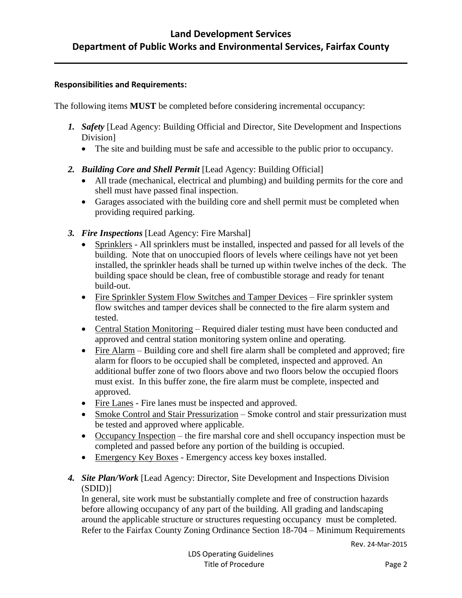#### **Responsibilities and Requirements:**

The following items **MUST** be completed before considering incremental occupancy:

- *1. Safety* [Lead Agency: Building Official and Director, Site Development and Inspections Division]
	- The site and building must be safe and accessible to the public prior to occupancy.
- *2. Building Core and Shell Permit* [Lead Agency: Building Official]
	- All trade (mechanical, electrical and plumbing) and building permits for the core and shell must have passed final inspection.
	- Garages associated with the building core and shell permit must be completed when providing required parking.
- *3. Fire Inspections* [Lead Agency: Fire Marshal]
	- Sprinklers All sprinklers must be installed, inspected and passed for all levels of the building. Note that on unoccupied floors of levels where ceilings have not yet been installed, the sprinkler heads shall be turned up within twelve inches of the deck. The building space should be clean, free of combustible storage and ready for tenant build-out.
	- Fire Sprinkler System Flow Switches and Tamper Devices Fire sprinkler system flow switches and tamper devices shall be connected to the fire alarm system and tested.
	- Central Station Monitoring Required dialer testing must have been conducted and approved and central station monitoring system online and operating.
	- Fire Alarm Building core and shell fire alarm shall be completed and approved; fire alarm for floors to be occupied shall be completed, inspected and approved. An additional buffer zone of two floors above and two floors below the occupied floors must exist. In this buffer zone, the fire alarm must be complete, inspected and approved.
	- Fire Lanes Fire lanes must be inspected and approved.
	- Smoke Control and Stair Pressurization Smoke control and stair pressurization must be tested and approved where applicable.
	- Occupancy Inspection the fire marshal core and shell occupancy inspection must be completed and passed before any portion of the building is occupied.
	- Emergency Key Boxes Emergency access key boxes installed.
- *4. Site Plan/Work* [Lead Agency: Director, Site Development and Inspections Division (SDID)]

In general, site work must be substantially complete and free of construction hazards before allowing occupancy of any part of the building. All grading and landscaping around the applicable structure or structures requesting occupancy must be completed. Refer to the Fairfax County Zoning Ordinance Section 18-704 – Minimum Requirements

Rev. 24-Mar-2015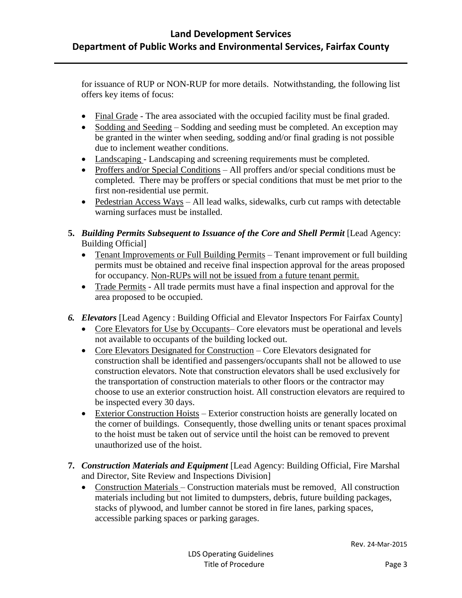for issuance of RUP or NON-RUP for more details. Notwithstanding, the following list offers key items of focus:

- Final Grade The area associated with the occupied facility must be final graded.
- Sodding and Seeding Sodding and seeding must be completed. An exception may be granted in the winter when seeding, sodding and/or final grading is not possible due to inclement weather conditions.
- Landscaping Landscaping and screening requirements must be completed.
- Proffers and/or Special Conditions All proffers and/or special conditions must be completed. There may be proffers or special conditions that must be met prior to the first non-residential use permit.
- Pedestrian Access Ways All lead walks, sidewalks, curb cut ramps with detectable warning surfaces must be installed.
- **5.** *Building Permits Subsequent to Issuance of the Core and Shell Permit* [Lead Agency: Building Official]
	- Tenant Improvements or Full Building Permits Tenant improvement or full building permits must be obtained and receive final inspection approval for the areas proposed for occupancy. Non-RUPs will not be issued from a future tenant permit.
	- Trade Permits All trade permits must have a final inspection and approval for the area proposed to be occupied.
- *6. Elevators* [Lead Agency : Building Official and Elevator Inspectors For Fairfax County]
	- Core Elevators for Use by Occupants– Core elevators must be operational and levels not available to occupants of the building locked out.
	- Core Elevators Designated for Construction Core Elevators designated for construction shall be identified and passengers/occupants shall not be allowed to use construction elevators. Note that construction elevators shall be used exclusively for the transportation of construction materials to other floors or the contractor may choose to use an exterior construction hoist. All construction elevators are required to be inspected every 30 days.
	- Exterior Construction Hoists Exterior construction hoists are generally located on the corner of buildings. Consequently, those dwelling units or tenant spaces proximal to the hoist must be taken out of service until the hoist can be removed to prevent unauthorized use of the hoist.
- **7.** *Construction Materials and Equipment* [Lead Agency: Building Official, Fire Marshal and Director, Site Review and Inspections Division]
	- Construction Materials Construction materials must be removed. All construction materials including but not limited to dumpsters, debris, future building packages, stacks of plywood, and lumber cannot be stored in fire lanes, parking spaces, accessible parking spaces or parking garages.